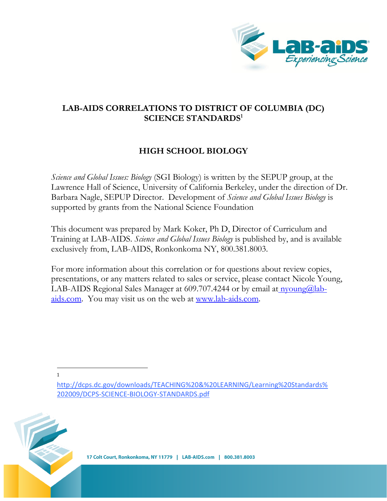

## **LAB-AIDS CORRELATIONS TO DISTRICT OF COLUMBIA (DC) SCIENCE STANDARDS<sup>1</sup>**

# **HIGH SCHOOL BIOLOGY**

*Science and Global Issues: Biology* (SGI Biology) is written by the SEPUP group, at the Lawrence Hall of Science, University of California Berkeley, under the direction of Dr. Barbara Nagle, SEPUP Director. Development of *Science and Global Issues Biology* is supported by grants from the National Science Foundation

This document was prepared by Mark Koker, Ph D, Director of Curriculum and Training at LAB-AIDS. *Science and Global Issues Biology* is published by, and is available exclusively from, LAB-AIDS, Ronkonkoma NY, 800.381.8003.

For more information about this correlation or for questions about review copies, presentations, or any matters related to sales or service, please contact Nicole Young, LAB-AIDS Regional Sales Manager at 609.707.4244 or by email at  $\eta$ voung $\omega$ labaids.com. You may visit us on the web at [www.lab-aids.com.](http://www.lab-aids.com/)

l 1



http://dcps.dc.gov/downloads/TEACHING%20&%20LEARNING/Learning%20Standards% 202009/DCPS-SCIENCE-BIOLOGY-STANDARDS.pdf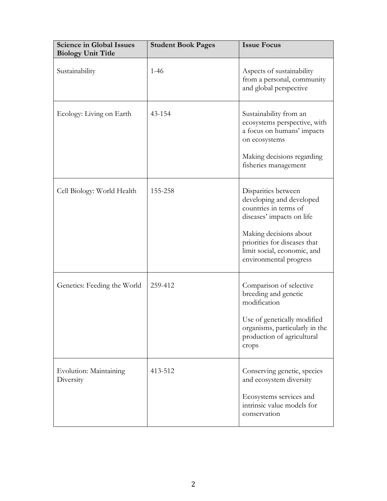| <b>Science in Global Issues</b><br><b>Biology Unit Title</b> | <b>Student Book Pages</b> | <b>Issue Focus</b>                                                                                                                                                                                                       |
|--------------------------------------------------------------|---------------------------|--------------------------------------------------------------------------------------------------------------------------------------------------------------------------------------------------------------------------|
| Sustainability                                               | $1-46$                    | Aspects of sustainability<br>from a personal, community<br>and global perspective                                                                                                                                        |
| Ecology: Living on Earth                                     | 43-154                    | Sustainability from an<br>ecosystems perspective, with<br>a focus on humans' impacts<br>on ecosystems<br>Making decisions regarding<br>fisheries management                                                              |
| Cell Biology: World Health                                   | 155-258                   | Disparities between<br>developing and developed<br>countries in terms of<br>diseases' impacts on life<br>Making decisions about<br>priorities for diseases that<br>limit social, economic, and<br>environmental progress |
| Genetics: Feeding the World                                  | 259-412                   | Comparison of selective<br>breeding and genetic<br>modification<br>Use of genetically modified<br>organisms, particularly in the<br>production of agricultural<br>crops                                                  |
| Evolution: Maintaining<br>Diversity                          | 413-512                   | Conserving genetic, species<br>and ecosystem diversity<br>Ecosystems services and<br>intrinsic value models for<br>conservation                                                                                          |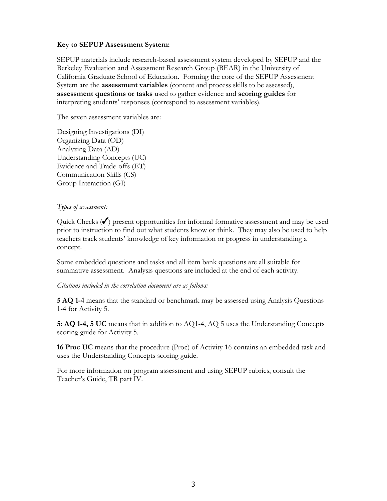#### **Key to SEPUP Assessment System:**

SEPUP materials include research-based assessment system developed by SEPUP and the Berkeley Evaluation and Assessment Research Group (BEAR) in the University of California Graduate School of Education. Forming the core of the SEPUP Assessment System are the **assessment variables** (content and process skills to be assessed), **assessment questions or tasks** used to gather evidence and **scoring guides** for interpreting students' responses (correspond to assessment variables).

The seven assessment variables are:

Designing Investigations (DI) Organizing Data (OD) Analyzing Data (AD) Understanding Concepts (UC) Evidence and Trade-offs (ET) Communication Skills (CS) Group Interaction (GI)

#### *Types of assessment:*

Quick Checks  $(\checkmark)$  present opportunities for informal formative assessment and may be used prior to instruction to find out what students know or think. They may also be used to help teachers track students' knowledge of key information or progress in understanding a concept.

Some embedded questions and tasks and all item bank questions are all suitable for summative assessment. Analysis questions are included at the end of each activity.

*Citations included in the correlation document are as follows:*

**5 AQ 1-4** means that the standard or benchmark may be assessed using Analysis Questions 1-4 for Activity 5.

**5: AQ 1-4, 5 UC** means that in addition to AQ1-4, AQ 5 uses the Understanding Concepts scoring guide for Activity 5.

**16 Proc UC** means that the procedure (Proc) of Activity 16 contains an embedded task and uses the Understanding Concepts scoring guide.

For more information on program assessment and using SEPUP rubrics, consult the Teacher's Guide, TR part IV.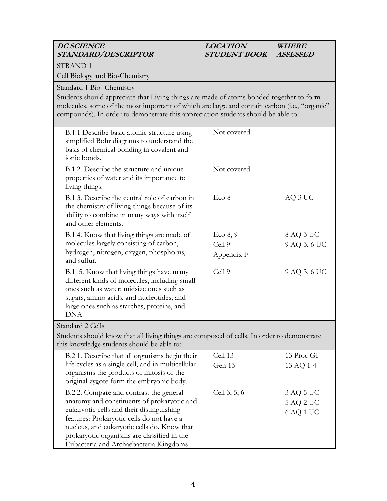### **DC SCIENCE STANDARD/DESCRIPTOR**

#### **LOCATION STUDENT BOOK WHERE ASSESSED**

STRAND 1

Cell Biology and Bio-Chemistry

Standard 1 Bio- Chemistry

Students should appreciate that Living things are made of atoms bonded together to form molecules, some of the most important of which are large and contain carbon (i.e., "organic" compounds). In order to demonstrate this appreciation students should be able to:

| B.1.1 Describe basic atomic structure using<br>simplified Bohr diagrams to understand the<br>basis of chemical bonding in covalent and<br>ionic bonds.                                                                                    | Not covered  |              |
|-------------------------------------------------------------------------------------------------------------------------------------------------------------------------------------------------------------------------------------------|--------------|--------------|
| B.1.2. Describe the structure and unique<br>properties of water and its importance to<br>living things.                                                                                                                                   | Not covered  |              |
| B.1.3. Describe the central role of carbon in<br>the chemistry of living things because of its<br>ability to combine in many ways with itself<br>and other elements.                                                                      | Eco 8        | AQ 3 UC      |
| B.1.4. Know that living things are made of                                                                                                                                                                                                | Eco 8, 9     | 8 AQ 3 UC    |
| molecules largely consisting of carbon,                                                                                                                                                                                                   | Cell 9       | 9 AQ 3, 6 UC |
| hydrogen, nitrogen, oxygen, phosphorus,<br>and sulfur.                                                                                                                                                                                    | Appendix F   |              |
| B.1. 5. Know that living things have many<br>different kinds of molecules, including small<br>ones such as water; midsize ones such as<br>sugars, amino acids, and nucleotides; and<br>large ones such as starches, proteins, and<br>DNA. | Cell 9       | 9 AQ 3, 6 UC |
| Standard 2 Cells                                                                                                                                                                                                                          |              |              |
| Students should know that all living things are composed of cells. In order to demonstrate<br>this knowledge students should be able to:                                                                                                  |              |              |
| B.2.1. Describe that all organisms begin their                                                                                                                                                                                            | Cell 13      | 13 Proc GI   |
| life cycles as a single cell, and in multicellular                                                                                                                                                                                        | Gen 13       | 13 AQ 1-4    |
| organisms the products of mitosis of the<br>original zygote form the embryonic body.                                                                                                                                                      |              |              |
| B.2.2. Compare and contrast the general                                                                                                                                                                                                   | Cell 3, 5, 6 | 3 AQ 5 UC    |
| anatomy and constituents of prokaryotic and                                                                                                                                                                                               |              | 5 AQ 2 UC    |
| eukaryotic cells and their distinguishing                                                                                                                                                                                                 |              | 6 AQ 1 UC    |
| features: Prokaryotic cells do not have a<br>nucleus, and eukaryotic cells do. Know that                                                                                                                                                  |              |              |
| prokaryotic organisms are classified in the                                                                                                                                                                                               |              |              |
| Eubacteria and Archaebacteria Kingdoms                                                                                                                                                                                                    |              |              |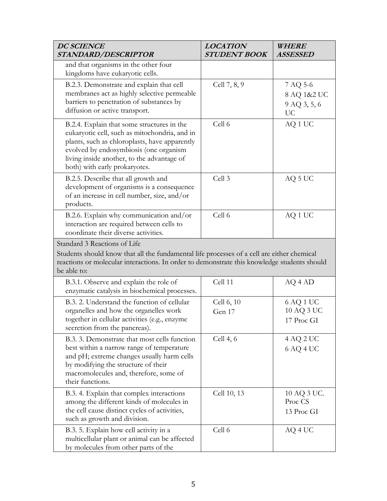| <b>DC SCIENCE</b><br>STANDARD/DESCRIPTOR                                                                                                                                                                                                                              | <b>LOCATION</b><br><b>STUDENT BOOK</b> | WHERE<br><b>ASSESSED</b>                      |
|-----------------------------------------------------------------------------------------------------------------------------------------------------------------------------------------------------------------------------------------------------------------------|----------------------------------------|-----------------------------------------------|
| and that organisms in the other four<br>kingdoms have eukaryotic cells.                                                                                                                                                                                               |                                        |                                               |
| B.2.3. Demonstrate and explain that cell<br>membranes act as highly selective permeable<br>barriers to penetration of substances by<br>diffusion or active transport.                                                                                                 | Cell 7, 8, 9                           | 7 AQ 5-6<br>8 AQ 1&2 UC<br>9 AQ 3, 5, 6<br>UC |
| B.2.4. Explain that some structures in the<br>eukaryotic cell, such as mitochondria, and in<br>plants, such as chloroplasts, have apparently<br>evolved by endosymbiosis (one organism<br>living inside another, to the advantage of<br>both) with early prokaryotes. | Cell 6                                 | AQ 1 UC                                       |
| B.2.5. Describe that all growth and<br>development of organisms is a consequence<br>of an increase in cell number, size, and/or<br>products.                                                                                                                          | Cell 3                                 | AQ 5 UC                                       |
| B.2.6. Explain why communication and/or<br>interaction are required between cells to<br>coordinate their diverse activities.                                                                                                                                          | Cell 6                                 | AQ 1 UC                                       |
| Standard 3 Reactions of Life<br>Students should know that all the fundamental life processes of a cell are either chemical<br>reactions or molecular interactions. In order to demonstrate this knowledge students should<br>be able to:                              |                                        |                                               |
| B.3.1. Observe and explain the role of<br>enzymatic catalysis in biochemical processes.                                                                                                                                                                               | Cell 11                                | AQ 4 AD                                       |
| B.3. 2. Understand the function of cellular<br>organelles and how the organelles work<br>together in cellular activities (e.g., enzyme<br>secretion from the pancreas).                                                                                               | Cell 6, 10<br>Gen 17                   | 6 AQ 1 UC<br>10 AQ 3 UC<br>17 Proc GI         |
| B.3. 3. Demonstrate that most cells function<br>best within a narrow range of temperature<br>and pH; extreme changes usually harm cells<br>by modifying the structure of their<br>macromolecules and, therefore, some of<br>their functions.                          | Cell $4, 6$                            | 4 AQ 2 UC<br>6 AQ 4 UC                        |
| B.3. 4. Explain that complex interactions<br>among the different kinds of molecules in<br>the cell cause distinct cycles of activities,<br>such as growth and division.                                                                                               | Cell 10, 13                            | 10 AQ 3 UC.<br>Proc CS<br>13 Proc GI          |
| B.3. 5. Explain how cell activity in a<br>multicellular plant or animal can be affected<br>by molecules from other parts of the                                                                                                                                       | Cell 6                                 | AQ 4 UC                                       |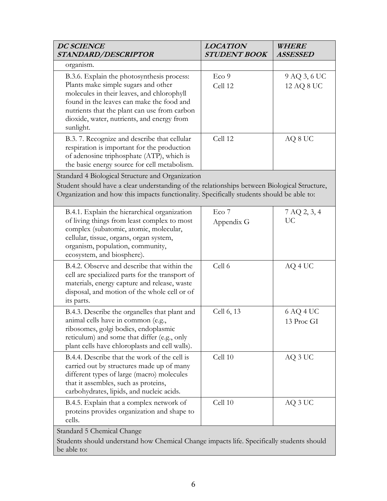| <b>DC SCIENCE</b><br>STANDARD/DESCRIPTOR                                                                                                                                                                                                                                                | <b>LOCATION</b><br><b>STUDENT BOOK</b> | <i>WHERE</i><br><b>ASSESSED</b> |
|-----------------------------------------------------------------------------------------------------------------------------------------------------------------------------------------------------------------------------------------------------------------------------------------|----------------------------------------|---------------------------------|
| organism.                                                                                                                                                                                                                                                                               |                                        |                                 |
| B.3.6. Explain the photosynthesis process:<br>Plants make simple sugars and other<br>molecules in their leaves, and chlorophyll<br>found in the leaves can make the food and<br>nutrients that the plant can use from carbon<br>dioxide, water, nutrients, and energy from<br>sunlight. | Eco 9<br>Cell 12                       | 9 AQ 3, 6 UC<br>12 AQ 8 UC      |
| B.3.7. Recognize and describe that cellular<br>respiration is important for the production<br>of adenosine triphosphate (ATP), which is<br>the basic energy source for cell metabolism.                                                                                                 | Cell 12                                | AQ 8 UC                         |
| Standard 4 Biological Structure and Organization                                                                                                                                                                                                                                        |                                        |                                 |
| Student should have a clear understanding of the relationships between Biological Structure,<br>Organization and how this impacts functionality. Specifically students should be able to:                                                                                               |                                        |                                 |
| B.4.1. Explain the hierarchical organization<br>of living things from least complex to most<br>complex (subatomic, atomic, molecular,<br>cellular, tissue, organs, organ system,<br>organism, population, community,<br>ecosystem, and biosphere).                                      | Eco <sub>7</sub><br>Appendix G         | 7 AQ 2, 3, 4<br><b>UC</b>       |
| B.4.2. Observe and describe that within the<br>cell are specialized parts for the transport of<br>materials, energy capture and release, waste<br>disposal, and motion of the whole cell or of<br>its parts.                                                                            | Cell 6                                 | AQ 4 UC                         |
| B.4.3. Describe the organelles that plant and<br>animal cells have in common (e.g.,<br>ribosomes, golgi bodies, endoplasmic<br>reticulum) and some that differ (e.g., only<br>plant cells have chloroplasts and cell walls).                                                            | Cell 6, 13                             | 6 AQ 4 UC<br>13 Proc GI         |
| B.4.4. Describe that the work of the cell is<br>carried out by structures made up of many<br>different types of large (macro) molecules<br>that it assembles, such as proteins,<br>carbohydrates, lipids, and nucleic acids.                                                            | Cell 10                                | AQ 3 UC                         |
| B.4.5. Explain that a complex network of<br>proteins provides organization and shape to<br>cells.                                                                                                                                                                                       | Cell 10                                | AQ 3 UC                         |
| Standard 5 Chemical Change<br>Students should understand how Chemical Change impacts life. Specifically students should                                                                                                                                                                 |                                        |                                 |
| be able to:                                                                                                                                                                                                                                                                             |                                        |                                 |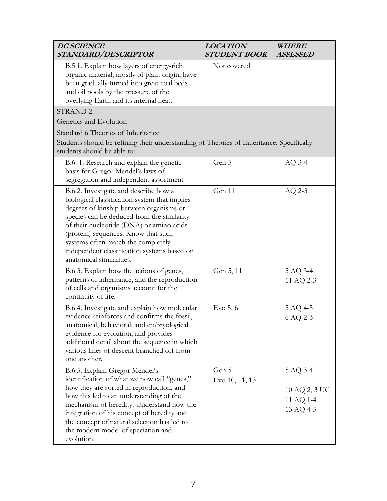| <b>DC SCIENCE</b><br>STANDARD/DESCRIPTOR                                                                                                                                                                                                                                                                                                                                            | <b>LOCATION</b><br><b>STUDENT BOOK</b> | <b>WHERE</b><br><b>ASSESSED</b>                     |
|-------------------------------------------------------------------------------------------------------------------------------------------------------------------------------------------------------------------------------------------------------------------------------------------------------------------------------------------------------------------------------------|----------------------------------------|-----------------------------------------------------|
| B.5.1. Explain how layers of energy-rich<br>organic material, mostly of plant origin, have<br>been gradually turned into great coal beds<br>and oil pools by the pressure of the<br>overlying Earth and its internal heat.                                                                                                                                                          | Not covered                            |                                                     |
| <b>STRAND 2</b>                                                                                                                                                                                                                                                                                                                                                                     |                                        |                                                     |
| Genetics and Evolution                                                                                                                                                                                                                                                                                                                                                              |                                        |                                                     |
| Standard 6 Theories of Inheritance<br>Students should be refining their understanding of Theories of Inheritance. Specifically<br>students should be able to:                                                                                                                                                                                                                       |                                        |                                                     |
| B.6. 1. Research and explain the genetic<br>basis for Gregor Mendel's laws of<br>segregation and independent assortment                                                                                                                                                                                                                                                             | Gen 5                                  | $AQ$ 3-4                                            |
| B.6.2. Investigate and describe how a<br>biological classification system that implies<br>degrees of kinship between organisms or<br>species can be deduced from the similarity<br>of their nucleotide (DNA) or amino acids<br>(protein) sequences. Know that such<br>systems often match the completely<br>independent classification systems based on<br>anatomical similarities. | Gen 11                                 | $AQ$ 2-3                                            |
| B.6.3. Explain how the actions of genes,<br>patterns of inheritance, and the reproduction<br>of cells and organisms account for the<br>continuity of life.                                                                                                                                                                                                                          | Gen 5, 11                              | 5 AQ 3-4<br>11 AQ 2-3                               |
| B.6.4. Investigate and explain how molecular<br>evidence reinforces and confirms the fossil,<br>anatomical, behavioral, and embryological<br>evidence for evolution, and provides<br>additional detail about the sequence in which<br>various lines of descent branched off from<br>one another.                                                                                    | Evo $5, 6$                             | 5 AQ 4-5<br>6 AQ 2-3                                |
| B.6.5. Explain Gregor Mendel's<br>identification of what we now call "genes,"<br>how they are sorted in reproduction, and<br>how this led to an understanding of the<br>mechanism of heredity. Understand how the<br>integration of his concept of heredity and<br>the concept of natural selection has led to<br>the modern model of speciation and<br>evolution.                  | Gen 5<br>Evo 10, 11, 13                | 5 AQ 3-4<br>10 AQ 2, 3 UC<br>11 AQ 1-4<br>13 AQ 4-5 |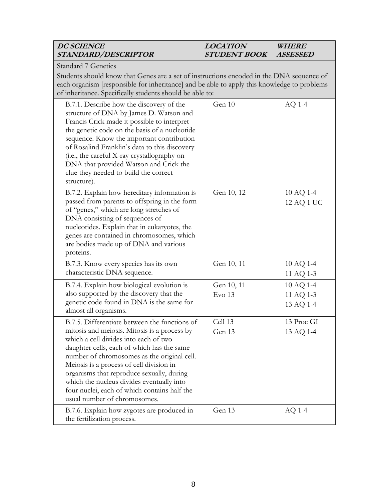| <b>DC SCIENCE</b><br>STANDARD/DESCRIPTOR                                                                                                                                                                                                                                                                                                                                                                                                                  | <b>LOCATION</b><br><b>STUDENT BOOK</b> | <b>WHERE</b><br><b>ASSESSED</b>     |  |
|-----------------------------------------------------------------------------------------------------------------------------------------------------------------------------------------------------------------------------------------------------------------------------------------------------------------------------------------------------------------------------------------------------------------------------------------------------------|----------------------------------------|-------------------------------------|--|
| <b>Standard 7 Genetics</b><br>Students should know that Genes are a set of instructions encoded in the DNA sequence of<br>each organism [responsible for inheritance] and be able to apply this knowledge to problems<br>of inheritance. Specifically students should be able to:                                                                                                                                                                         |                                        |                                     |  |
| B.7.1. Describe how the discovery of the<br>structure of DNA by James D. Watson and<br>Francis Crick made it possible to interpret<br>the genetic code on the basis of a nucleotide<br>sequence. Know the important contribution<br>of Rosalind Franklin's data to this discovery<br>(i.e., the careful X-ray crystallography on<br>DNA that provided Watson and Crick the<br>clue they needed to build the correct<br>structure).                        | Gen 10                                 | $AQ$ 1-4                            |  |
| B.7.2. Explain how hereditary information is<br>passed from parents to offspring in the form<br>of "genes," which are long stretches of<br>DNA consisting of sequences of<br>nucleotides. Explain that in eukaryotes, the<br>genes are contained in chromosomes, which<br>are bodies made up of DNA and various<br>proteins.                                                                                                                              | Gen 10, 12                             | 10 AQ 1-4<br>12 AQ 1 UC             |  |
| B.7.3. Know every species has its own<br>characteristic DNA sequence.                                                                                                                                                                                                                                                                                                                                                                                     | Gen 10, 11                             | 10 AQ 1-4<br>11 AQ 1-3              |  |
| B.7.4. Explain how biological evolution is<br>also supported by the discovery that the<br>genetic code found in DNA is the same for<br>almost all organisms.                                                                                                                                                                                                                                                                                              | Gen 10, 11<br>Evo 13                   | 10 AQ 1-4<br>11 AQ 1-3<br>13 AQ 1-4 |  |
| B.7.5. Differentiate between the functions of<br>mitosis and meiosis. Mitosis is a process by<br>which a cell divides into each of two<br>daughter cells, each of which has the same<br>number of chromosomes as the original cell.<br>Meiosis is a process of cell division in<br>organisms that reproduce sexually, during<br>which the nucleus divides eventually into<br>four nuclei, each of which contains half the<br>usual number of chromosomes. | Cell 13<br>Gen 13                      | 13 Proc GI<br>13 AQ 1-4             |  |
| B.7.6. Explain how zygotes are produced in<br>the fertilization process.                                                                                                                                                                                                                                                                                                                                                                                  | Gen 13                                 | AQ 1-4                              |  |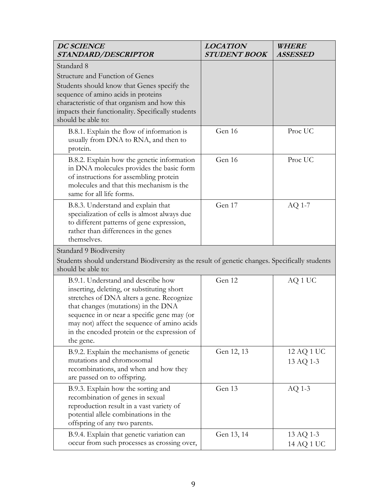| <b>DC SCIENCE</b><br>STANDARD/DESCRIPTOR                                                                                                                                                                                                                                                                                       | <b>LOCATION</b><br><b>STUDENT BOOK</b> | WHERE<br><b>ASSESSED</b> |
|--------------------------------------------------------------------------------------------------------------------------------------------------------------------------------------------------------------------------------------------------------------------------------------------------------------------------------|----------------------------------------|--------------------------|
| Standard 8<br>Structure and Function of Genes<br>Students should know that Genes specify the<br>sequence of amino acids in proteins<br>characteristic of that organism and how this<br>impacts their functionality. Specifically students<br>should be able to:                                                                |                                        |                          |
| B.8.1. Explain the flow of information is<br>usually from DNA to RNA, and then to<br>protein.                                                                                                                                                                                                                                  | Gen 16                                 | Proc UC                  |
| B.8.2. Explain how the genetic information<br>in DNA molecules provides the basic form<br>of instructions for assembling protein<br>molecules and that this mechanism is the<br>same for all life forms.                                                                                                                       | Gen 16                                 | Proc UC                  |
| B.8.3. Understand and explain that<br>specialization of cells is almost always due<br>to different patterns of gene expression,<br>rather than differences in the genes<br>themselves.                                                                                                                                         | Gen 17                                 | AQ 1-7                   |
| Standard 9 Biodiversity<br>Students should understand Biodiversity as the result of genetic changes. Specifically students<br>should be able to:                                                                                                                                                                               |                                        |                          |
| B.9.1. Understand and describe how<br>inserting, deleting, or substituting short<br>stretches of DNA alters a gene. Recognize<br>that changes (mutations) in the DNA<br>sequence in or near a specific gene may (or<br>may not) affect the sequence of amino acids<br>in the encoded protein or the expression of<br>the gene. | Gen 12                                 | AQ 1 UC                  |
| B.9.2. Explain the mechanisms of genetic<br>mutations and chromosomal<br>recombinations, and when and how they<br>are passed on to offspring.                                                                                                                                                                                  | Gen 12, 13                             | 12 AQ 1 UC<br>13 AQ 1-3  |
| B.9.3. Explain how the sorting and<br>recombination of genes in sexual<br>reproduction result in a vast variety of<br>potential allele combinations in the<br>offspring of any two parents.                                                                                                                                    | Gen 13                                 | $AQ$ 1-3                 |
| B.9.4. Explain that genetic variation can<br>occur from such processes as crossing over,                                                                                                                                                                                                                                       | Gen 13, 14                             | 13 AQ 1-3<br>14 AQ 1 UC  |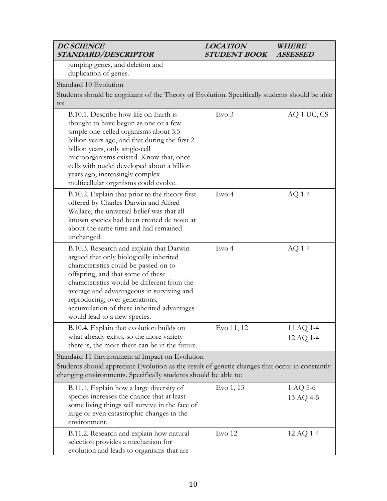| <b>DC SCIENCE</b><br>STANDARD/DESCRIPTOR                                                                                                                                                                                                                                                                                                                                           | <b>LOCATION</b><br><b>STUDENT BOOK</b> | WHERE<br><b>ASSESSED</b> |
|------------------------------------------------------------------------------------------------------------------------------------------------------------------------------------------------------------------------------------------------------------------------------------------------------------------------------------------------------------------------------------|----------------------------------------|--------------------------|
| jumping genes, and deletion and<br>duplication of genes.                                                                                                                                                                                                                                                                                                                           |                                        |                          |
| Standard 10 Evolution<br>Students should be cognizant of the Theory of Evolution. Specifically students should be able<br>to:                                                                                                                                                                                                                                                      |                                        |                          |
| B.10.1. Describe how life on Earth is<br>thought to have begun as one or a few<br>simple one-celled organisms about 3.5<br>billion years ago, and that during the first 2<br>billion years, only single-cell<br>microorganisms existed. Know that, once<br>cells with nuclei developed about a billion<br>years ago, increasingly complex<br>multicellular organisms could evolve. | Evo <sub>3</sub>                       | AQ 1 UC, CS              |
| B.10.2. Explain that prior to the theory first<br>offered by Charles Darwin and Alfred<br>Wallace, the universal belief was that all<br>known species had been created de novo at<br>about the same time and had remained<br>unchanged.                                                                                                                                            | Evo <sub>4</sub>                       | $AQ$ 1-4                 |
| B.10.3. Research and explain that Darwin<br>argued that only biologically inherited<br>characteristics could be passed on to<br>offspring, and that some of these<br>characteristics would be different from the<br>average and advantageous in surviving and<br>reproducing; over generations,<br>accumulation of these inherited advantages<br>would lead to a new species.      | Evo 4                                  | $AQ$ 1-4                 |
| B.10.4. Explain that evolution builds on<br>what already exists, so the more variety<br>there is, the more there can be in the future.                                                                                                                                                                                                                                             | Evo 11, 12                             | 11 AQ 1-4<br>12 AQ 1-4   |
| Standard 11 Environment al Impact on Evolution<br>Students should appreciate Evolution as the result of genetic changes that occur in constantly<br>changing environments. Specifically students should be able to:                                                                                                                                                                |                                        |                          |
| B.11.1. Explain how a large diversity of<br>species increases the chance that at least<br>some living things will survive in the face of<br>large or even catastrophic changes in the<br>environment.                                                                                                                                                                              | Evo 1, 13                              | 1 AQ 5-6<br>13 AQ 4-5    |
| B.11.2. Research and explain how natural<br>selection provides a mechanism for<br>evolution and leads to organisms that are                                                                                                                                                                                                                                                        | Evo 12                                 | 12 AQ 1-4                |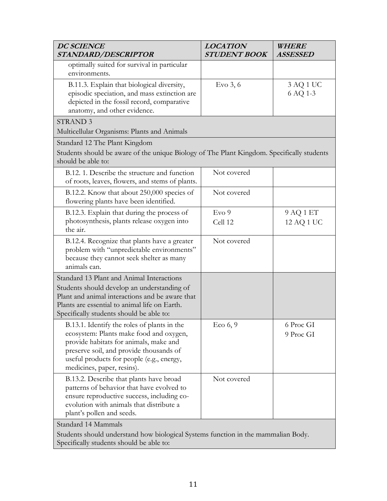| <b>DC SCIENCE</b><br>STANDARD/DESCRIPTOR                                                                                                                                                                                                               | <b>LOCATION</b><br><b>STUDENT BOOK</b> | <i>WHERE</i><br><b>ASSESSED</b> |
|--------------------------------------------------------------------------------------------------------------------------------------------------------------------------------------------------------------------------------------------------------|----------------------------------------|---------------------------------|
| optimally suited for survival in particular<br>environments.                                                                                                                                                                                           |                                        |                                 |
| B.11.3. Explain that biological diversity,<br>episodic speciation, and mass extinction are<br>depicted in the fossil record, comparative<br>anatomy, and other evidence.                                                                               | Evo $3, 6$                             | 3 AQ 1 UC<br>6 AQ 1-3           |
| <b>STRAND 3</b>                                                                                                                                                                                                                                        |                                        |                                 |
| Multicellular Organisms: Plants and Animals                                                                                                                                                                                                            |                                        |                                 |
| Standard 12 The Plant Kingdom<br>Students should be aware of the unique Biology of The Plant Kingdom. Specifically students<br>should be able to:                                                                                                      |                                        |                                 |
| B.12. 1. Describe the structure and function<br>of roots, leaves, flowers, and stems of plants.                                                                                                                                                        | Not covered                            |                                 |
| B.12.2. Know that about 250,000 species of<br>flowering plants have been identified.                                                                                                                                                                   | Not covered                            |                                 |
| B.12.3. Explain that during the process of                                                                                                                                                                                                             | Evo 9                                  | 9 AQ 1 ET                       |
| photosynthesis, plants release oxygen into<br>the air.                                                                                                                                                                                                 | Cell 12                                | 12 AQ 1 UC                      |
| B.12.4. Recognize that plants have a greater<br>problem with "unpredictable environments"<br>because they cannot seek shelter as many<br>animals can.                                                                                                  | Not covered                            |                                 |
| Standard 13 Plant and Animal Interactions<br>Students should develop an understanding of<br>Plant and animal interactions and be aware that                                                                                                            |                                        |                                 |
| Plants are essential to animal life on Earth.<br>Specifically students should be able to:                                                                                                                                                              |                                        |                                 |
| B.13.1. Identify the roles of plants in the<br>ecosystem: Plants make food and oxygen,<br>provide habitats for animals, make and<br>preserve soil, and provide thousands of<br>useful products for people (e.g., energy,<br>medicines, paper, resins). | Eco $6, 9$                             | 6 Proc GI<br>9 Proc GI          |
| B.13.2. Describe that plants have broad<br>patterns of behavior that have evolved to<br>ensure reproductive success, including co-<br>evolution with animals that distribute a<br>plant's pollen and seeds.                                            | Not covered                            |                                 |
| Standard 14 Mammals<br>Students should understand how biological Systems function in the mammalian Body.<br>Specifically students should be able to:                                                                                                   |                                        |                                 |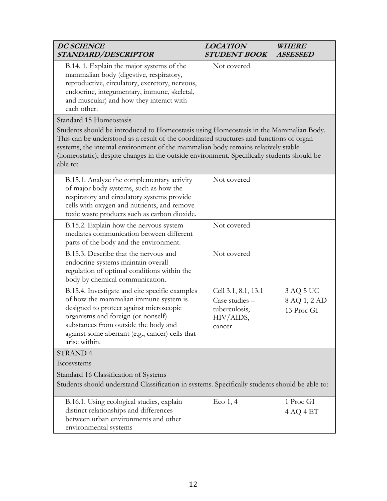| <b>DC SCIENCE</b><br>STANDARD/DESCRIPTOR                                                                                                                                                                                                                                                                                                                                        | <b>LOCATION</b><br><b>STUDENT BOOK</b>                                        | <b>WHERE</b><br><b>ASSESSED</b>         |
|---------------------------------------------------------------------------------------------------------------------------------------------------------------------------------------------------------------------------------------------------------------------------------------------------------------------------------------------------------------------------------|-------------------------------------------------------------------------------|-----------------------------------------|
| B.14. 1. Explain the major systems of the<br>mammalian body (digestive, respiratory,<br>reproductive, circulatory, excretory, nervous,<br>endocrine, integumentary, immune, skeletal,<br>and muscular) and how they interact with<br>each other.                                                                                                                                | Not covered                                                                   |                                         |
| Standard 15 Homeostasis                                                                                                                                                                                                                                                                                                                                                         |                                                                               |                                         |
| Students should be introduced to Homeostasis using Homeostasis in the Mammalian Body.<br>This can be understood as a result of the coordinated structures and functions of organ<br>systems, the internal environment of the mammalian body remains relatively stable<br>(homeostatic), despite changes in the outside environment. Specifically students should be<br>able to: |                                                                               |                                         |
| B.15.1. Analyze the complementary activity<br>of major body systems, such as how the<br>respiratory and circulatory systems provide<br>cells with oxygen and nutrients, and remove<br>toxic waste products such as carbon dioxide.                                                                                                                                              | Not covered                                                                   |                                         |
| B.15.2. Explain how the nervous system<br>mediates communication between different<br>parts of the body and the environment.                                                                                                                                                                                                                                                    | Not covered                                                                   |                                         |
| B.15.3. Describe that the nervous and<br>endocrine systems maintain overall<br>regulation of optimal conditions within the<br>body by chemical communication.                                                                                                                                                                                                                   | Not covered                                                                   |                                         |
| B.15.4. Investigate and cite specific examples<br>of how the mammalian immune system is<br>designed to protect against microscopic<br>organisms and foreign (or nonself)<br>substances from outside the body and<br>against some aberrant (e.g., cancer) cells that<br>arise within.                                                                                            | Cell 3.1, 8.1, 13.1<br>Case studies -<br>tuberculosis,<br>HIV/AIDS,<br>cancer | 3 AQ 5 UC<br>8 AQ 1, 2 AD<br>13 Proc GI |
| <b>STRAND 4</b>                                                                                                                                                                                                                                                                                                                                                                 |                                                                               |                                         |
| Ecosystems                                                                                                                                                                                                                                                                                                                                                                      |                                                                               |                                         |
| Standard 16 Classification of Systems<br>Students should understand Classification in systems. Specifically students should be able to:                                                                                                                                                                                                                                         |                                                                               |                                         |
| B.16.1. Using ecological studies, explain<br>distinct relationships and differences<br>between urban environments and other<br>environmental systems                                                                                                                                                                                                                            | $Eco$ 1, 4                                                                    | 1 Proc GI<br>4 AQ 4 ET                  |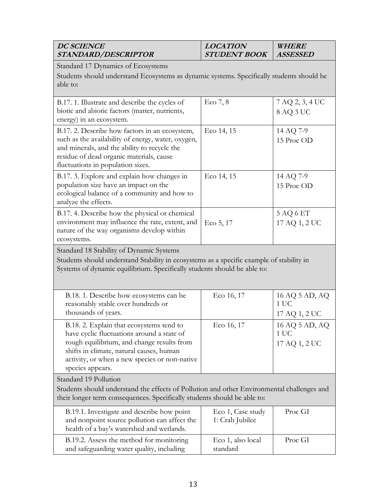| <b>DC SCIENCE</b><br>STANDARD/DESCRIPTOR                                                                                                                                                                                                              | <b>LOCATION</b><br><b>STUDENT BOOK</b> | WHERE<br><b>ASSESSED</b>                |  |
|-------------------------------------------------------------------------------------------------------------------------------------------------------------------------------------------------------------------------------------------------------|----------------------------------------|-----------------------------------------|--|
| Standard 17 Dynamics of Ecosystems<br>Students should understand Ecosystems as dynamic systems. Specifically students should be<br>able to:                                                                                                           |                                        |                                         |  |
| B.17. 1. Illustrate and describe the cycles of<br>biotic and abiotic factors (matter, nutrients,<br>energy) in an ecosystem.                                                                                                                          | Eco $7, 8$                             | 7 AQ 2, 3, 4 UC<br>8 AQ 3 UC            |  |
| B.17. 2. Describe how factors in an ecosystem,<br>such as the availability of energy, water, oxygen,<br>and minerals, and the ability to recycle the<br>residue of dead organic materials, cause<br>fluctuations in population sizes.                 | Eco 14, 15                             | 14 AQ 7-9<br>15 Proc OD                 |  |
| B.17. 3. Explore and explain how changes in<br>population size have an impact on the<br>ecological balance of a community and how to<br>analyze the effects.                                                                                          | Eco 14, 15                             | 14 AQ 7-9<br>15 Proc OD                 |  |
| B.17. 4. Describe how the physical or chemical<br>environment may influence the rate, extent, and<br>nature of the way organisms develop within<br>ecosystems.                                                                                        | Eco 5, 17                              | 5 AQ 6 ET<br>17 AQ 1, 2 UC              |  |
| Standard 18 Stability of Dynamic Systems<br>Students should understand Stability in ecosystems as a specific example of stability in<br>Systems of dynamic equilibrium. Specifically students should be able to:                                      |                                        |                                         |  |
| B.18. 1. Describe how ecosystems can be<br>reasonably stable over hundreds or<br>thousands of years.                                                                                                                                                  | Eco 16, 17                             | 16 AQ 5 AD, AQ<br>1 UC<br>17 AQ 1, 2 UC |  |
| B.18. 2. Explain that ecosystems tend to<br>have cyclic fluctuations around a state of<br>rough equilibrium, and change results from<br>shifts in climate, natural causes, human<br>activity, or when a new species or non-native<br>species appears. | Eco 16, 17                             | 16 AQ 5 AD, AQ<br>1 UC<br>17 AQ 1, 2 UC |  |
| Standard 19 Pollution<br>Students should understand the effects of Pollution and other Environmental challenges and<br>their longer term consequences. Specifically students should be able to:                                                       |                                        |                                         |  |
| B.19.1. Investigate and describe how point<br>and nonpoint source pollution can affect the<br>health of a bay's watershed and wetlands.                                                                                                               | Eco 1, Case study<br>1: Crab Jubilee   | Proc GI                                 |  |
| B.19.2. Assess the method for monitoring<br>and safeguarding water quality, including                                                                                                                                                                 | Eco 1, also local<br>standard          | Proc GI                                 |  |